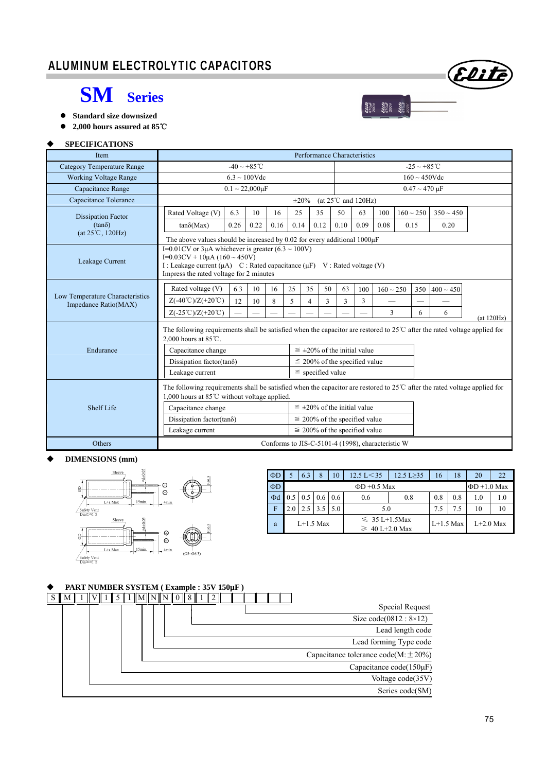# ALUMINUM ELECTROLYTIC CAPACITORS





**2,000 hours assured at 85**℃

#### **SPECIFICATIONS**

| <b>Item</b>                       | Performance Characteristics                                                                                                                                                                 |                                                                                                                                                                                                                                 |                          |      |            |                                                   |                                         |      |                |                          |     |                |  |
|-----------------------------------|---------------------------------------------------------------------------------------------------------------------------------------------------------------------------------------------|---------------------------------------------------------------------------------------------------------------------------------------------------------------------------------------------------------------------------------|--------------------------|------|------------|---------------------------------------------------|-----------------------------------------|------|----------------|--------------------------|-----|----------------|--|
| <b>Category Temperature Range</b> |                                                                                                                                                                                             |                                                                                                                                                                                                                                 | $-40 \sim +85^{\circ}$ C |      |            |                                                   |                                         |      |                | $-25 \sim +85^{\circ}$ C |     |                |  |
| <b>Working Voltage Range</b>      |                                                                                                                                                                                             |                                                                                                                                                                                                                                 | $6.3 \sim 100$ Vdc       |      |            |                                                   |                                         |      |                | $160 \sim 450$ Vdc       |     |                |  |
| Capacitance Range                 |                                                                                                                                                                                             | $0.1 \sim 22,000 \mu F$                                                                                                                                                                                                         |                          |      |            |                                                   |                                         |      |                | $0.47 \sim 470 \mu F$    |     |                |  |
| Capacitance Tolerance             |                                                                                                                                                                                             |                                                                                                                                                                                                                                 |                          |      | $\pm 20\%$ |                                                   | (at $25^{\circ}$ C and $120\text{Hz}$ ) |      |                |                          |     |                |  |
| <b>Dissipation Factor</b>         | Rated Voltage (V)                                                                                                                                                                           | 6.3                                                                                                                                                                                                                             | 10 <sup>10</sup>         | 16   | 25         | 35                                                | 50                                      | 63   | 100            | $160 \sim 250$           |     | $350 \sim 450$ |  |
| $(tan\delta)$                     | $tan\delta(Max)$                                                                                                                                                                            | 0.26                                                                                                                                                                                                                            | 0.22                     | 0.16 | 0.14       | 0.12                                              | 0.10                                    | 0.09 | 0.08           | 0.15                     |     | 0.20           |  |
| $(at 25^{\circ}C, 120Hz)$         |                                                                                                                                                                                             | The above values should be increased by 0.02 for every additional $1000\mu$ F                                                                                                                                                   |                          |      |            |                                                   |                                         |      |                |                          |     |                |  |
| Leakage Current                   |                                                                                                                                                                                             | I=0.01CV or 3 $\mu$ A whichever is greater (6.3 ~ 100V)<br>I=0.03CV + 10 $\mu$ A (160 ~ 450V)<br>I : Leakage current $(\mu A)$ C : Rated capacitance $(\mu F)$ V : Rated voltage (V)<br>Impress the rated voltage for 2 minutes |                          |      |            |                                                   |                                         |      |                |                          |     |                |  |
|                                   | Rated voltage (V)                                                                                                                                                                           | 6.3                                                                                                                                                                                                                             | 10                       | 16   | 25         | 35<br>50                                          | 63                                      | 100  | $160 \sim 250$ |                          | 350 | $400 \sim 450$ |  |
| Low Temperature Characteristics   | $Z(-40^{\circ}\text{C})/Z(+20^{\circ}\text{C})$                                                                                                                                             | 12                                                                                                                                                                                                                              | 10                       | 8    | 5          | 3<br>$\overline{4}$                               | 3                                       | 3    |                |                          |     |                |  |
| Impedance Ratio(MAX)              | $Z(-25^{\circ}\text{C})/Z(+20^{\circ}\text{C})$                                                                                                                                             |                                                                                                                                                                                                                                 |                          |      |            |                                                   |                                         |      | 3              |                          | 6   | 6              |  |
|                                   | (at 120Hz)<br>The following requirements shall be satisfied when the capacitor are restored to $25^{\circ}$ after the rated voltage applied for<br>2.000 hours at $85^{\circ}$ C.           |                                                                                                                                                                                                                                 |                          |      |            |                                                   |                                         |      |                |                          |     |                |  |
| Endurance                         | Capacitance change                                                                                                                                                                          |                                                                                                                                                                                                                                 |                          |      |            | $\leq \pm 20\%$ of the initial value              |                                         |      |                |                          |     |                |  |
|                                   | Dissipation factor(tan $\delta$ )                                                                                                                                                           |                                                                                                                                                                                                                                 |                          |      |            | $\leq$ 200% of the specified value                |                                         |      |                |                          |     |                |  |
|                                   | Leakage current                                                                                                                                                                             |                                                                                                                                                                                                                                 |                          |      |            |                                                   |                                         |      |                |                          |     |                |  |
|                                   | The following requirements shall be satisfied when the capacitor are restored to $25^{\circ}$ after the rated voltage applied for<br>1,000 hours at $85^{\circ}$ C without voltage applied. |                                                                                                                                                                                                                                 |                          |      |            |                                                   |                                         |      |                |                          |     |                |  |
| Shelf Life                        | Capacitance change                                                                                                                                                                          |                                                                                                                                                                                                                                 |                          |      |            | $\leq$ ±20% of the initial value                  |                                         |      |                |                          |     |                |  |
|                                   | Dissipation factor(tan $\delta$ )<br>$\leq$ 200% of the specified value                                                                                                                     |                                                                                                                                                                                                                                 |                          |      |            |                                                   |                                         |      |                |                          |     |                |  |
|                                   | Leakage current                                                                                                                                                                             |                                                                                                                                                                                                                                 |                          |      |            | $\leq$ 200% of the specified value                |                                         |      |                |                          |     |                |  |
| Others                            |                                                                                                                                                                                             |                                                                                                                                                                                                                                 |                          |      |            | Conforms to JIS-C-5101-4 (1998), characteristic W |                                         |      |                |                          |     |                |  |

### **DIMENSIONS (mm)**



| $\Phi$ D | 6.3           | 8                 | 10  | $12.5 \text{ L} < 35$ | $12.5 L \geq 35$ | 16          | 18  | 20          | 22  |
|----------|---------------|-------------------|-----|-----------------------|------------------|-------------|-----|-------------|-----|
| $\Phi$ D |               | $\Phi$ D +1.0 Max |     |                       |                  |             |     |             |     |
| $\Phi$ d | $0.5 \pm 0.5$ | $0.6 \, 0.6$      |     | 0.6                   | 0.8              | 0.8         | 0.8 | 1.0         | 1.0 |
| F        | 2.5           | 3.5               | 5.0 | 5.0                   |                  | 7.5         | 7.5 | 10          | 10  |
| a        | $L+1.5$ Max   |                   |     | $\leq 35 L+1.5$ Max   |                  | $L+1.5$ Max |     | $L+2.0$ Max |     |
|          |               |                   |     | $\geq 40$ L+2.0 Max   |                  |             |     |             |     |

 $\begin{bmatrix} 1 & 0 & 0 & 0 \\ 0 & 0 & 0 & 0 \\ 0 & 0 & 0 & 0 \\ 0 & 0 & 0 & 0 \\ 0 & 0 & 0 & 0 \\ 0 & 0 & 0 & 0 \\ 0 & 0 & 0 & 0 \\ 0 & 0 & 0 & 0 \\ 0 & 0 & 0 & 0 \\ 0 & 0 & 0 & 0 \\ 0 & 0 & 0 & 0 \\ 0 & 0 & 0 & 0 \\ 0 & 0 & 0 & 0 \\ 0 & 0 & 0 & 0 \\ 0 & 0 & 0 & 0 \\ 0 & 0 & 0 & 0 \\ 0 & 0 & 0 & 0 \\ 0 & 0 & 0 &$ 

### **PART NUMBER SYSTEM ( Example : 35V 150µF )**

|  |  |  |  |  |  |  |  |  |  |  |  | <b>Special Request</b>                     |
|--|--|--|--|--|--|--|--|--|--|--|--|--------------------------------------------|
|  |  |  |  |  |  |  |  |  |  |  |  | Size $code(0812 : 8\times12)$              |
|  |  |  |  |  |  |  |  |  |  |  |  | Lead length code                           |
|  |  |  |  |  |  |  |  |  |  |  |  | Lead forming Type code                     |
|  |  |  |  |  |  |  |  |  |  |  |  | Capacitance tolerance code(M: $\pm 20\%$ ) |
|  |  |  |  |  |  |  |  |  |  |  |  | Capacitance code(150µF)                    |
|  |  |  |  |  |  |  |  |  |  |  |  | Voltage code(35V)                          |
|  |  |  |  |  |  |  |  |  |  |  |  | Series code(SM)                            |

Elite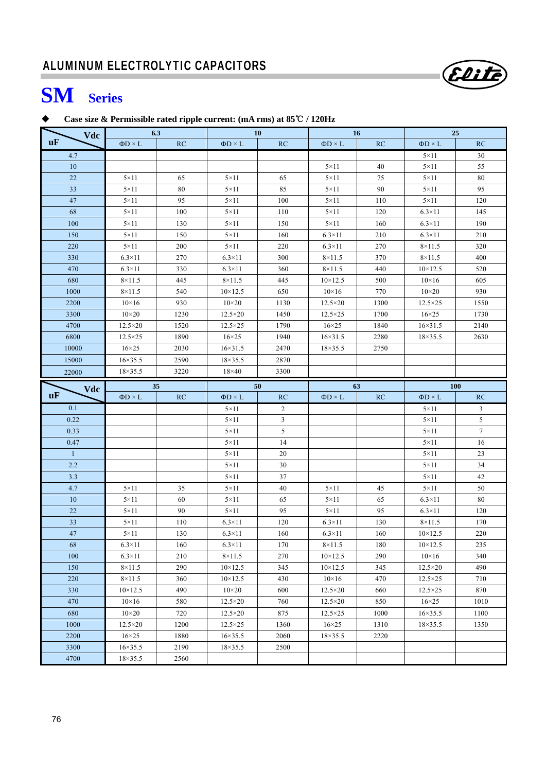# **SM Series**

## **Case size & Permissible rated ripple current: (mA rms) at 85**℃ **/ 120Hz**

| Vdc          |                                      | 6.3          |                   | <b>10</b>               |                   | 16   | 25                |                         |
|--------------|--------------------------------------|--------------|-------------------|-------------------------|-------------------|------|-------------------|-------------------------|
| uF           | $\Phi D \times L$                    | RC           | $\Phi D \times L$ | RC                      | $\Phi D \times L$ | RC   | $\Phi D \times L$ | RC                      |
| 4.7          |                                      |              |                   |                         |                   |      | $5\times11$       | 30                      |
| 10           |                                      |              |                   |                         | $5 \times 11$     | 40   | $5 \times 11$     | 55                      |
| 22           | $5 \times 11$                        | 65           | $5 \times 11$     | 65                      | $5 \times 11$     | 75   | $5 \times 11$     | $80\,$                  |
| 33           | $5 \times 11$                        | 80           | $5 \times 11$     | 85                      | $5 \times 11$     | 90   | $5\times11$       | 95                      |
| 47           | $5 \times 11$                        | 95           | $5 \times 11$     | 100                     | $5 \times 11$     | 110  | $5 \times 11$     | 120                     |
| 68           | $5\times11$                          | 100          | $5 \times 11$     | 110                     | $5 \times 11$     | 120  | $6.3\times11$     | 145                     |
| 100          | $5\times11$                          | 130          | $5 \times 11$     | 150                     | $5 \times 11$     | 160  | $6.3\times11$     | 190                     |
| 150          | $5\times11$                          | 150          | $5\times11$       | 160                     | $6.3\times11$     | 210  | $6.3\times11$     | 210                     |
| 220          | $5\times11$                          | 200          | $5 \times 11$     | 220                     | $6.3\times11$     | 270  | $8\times11.5$     | 320                     |
| 330          | $6.3\times11$                        | 270          | $6.3\times11$     | 300                     | $8\times11.5$     | 370  | $8 \times 11.5$   | 400                     |
| 470          | $6.3\times11$                        | 330          | $6.3\times11$     | 360                     | $8\times11.5$     | 440  | $10 \times 12.5$  | 520                     |
| 680          | $8\times11.5$                        | 445          | $8\times11.5$     | 445                     | $10 \times 12.5$  | 500  | $10\times16$      | 605                     |
| 1000         | $8\times11.5$                        | 540          | $10 \times 12.5$  | 650                     | $10\times16$      | 770  | $10\times 20$     | 930                     |
| 2200         | $10\times16$                         | 930          | $10\times 20$     | 1130                    | $12.5 \times 20$  | 1300 | $12.5 \times 25$  | 1550                    |
| 3300         | $10\times 20$                        | 1230         | $12.5 \times 20$  | 1450                    | $12.5 \times 25$  | 1700 | $16\times25$      | 1730                    |
| 4700         | $12.5 \times 20$                     | 1520         | $12.5 \times 25$  | 1790                    | $16\times25$      | 1840 | $16 \times 31.5$  | 2140                    |
| 6800         | $12.5 \times 25$                     | 1890         | $16\times25$      | 1940                    | $16 \times 31.5$  | 2280 | $18 \times 35.5$  | 2630                    |
| 10000        | $16\times25$                         | 2030         | $16 \times 31.5$  | 2470                    | $18 \times 35.5$  | 2750 |                   |                         |
| 15000        | $16 \times 35.5$                     | 2590         | 18×35.5           | 2870                    |                   |      |                   |                         |
| 22000        | $18 \times 35.5$                     | 3220         | $18\times 40$     | 3300                    |                   |      |                   |                         |
| Vdc          |                                      | 35           |                   | 50                      |                   | 63   | 100               |                         |
| uF           | $\Phi D \times L$                    | RC           | $\Phi D \times L$ | RC                      | $\Phi D \times L$ | RC   | $\Phi D \times L$ | RC                      |
| 0.1          |                                      |              | $5 \times 11$     | $\overline{c}$          |                   |      | $5 \times 11$     | $\overline{\mathbf{3}}$ |
|              |                                      |              |                   |                         |                   |      |                   |                         |
| 0.22         |                                      |              | $5 \times 11$     | $\overline{\mathbf{3}}$ |                   |      | $5 \times 11$     | $\mathfrak{S}$          |
| 0.33         |                                      |              | $5 \times 11$     | 5                       |                   |      | $5 \times 11$     | $7\phantom{.0}$         |
| 0.47         |                                      |              | $5 \times 11$     | 14                      |                   |      | $5 \times 11$     | 16                      |
| $\mathbf{1}$ |                                      |              | $5 \times 11$     | 20                      |                   |      | $5 \times 11$     | 23                      |
| $2.2\,$      |                                      |              | $5 \times 11$     | 30                      |                   |      | $5\times11$       | 34                      |
| 3.3          |                                      |              | $5\times11$       | 37                      |                   |      | $5\times11$       | 42                      |
| 4.7          | $5 \times 11$                        | 35           | $5 \times 11$     | 40                      | $5 \times 11$     | 45   | $5\times11$       | 50                      |
| 10           | $5 \times 11$                        | 60           | $5\times11$       | 65                      | $5 \times 11$     | 65   | $6.3\times11$     | 80                      |
| 22           | $5\times11$                          | 90           | $5\times11$       | 95                      | $5 \times 11$     | 95   | $6.3\times11$     | 120                     |
| 33           | $5 \times 11$                        | 110          | $6.3\times11$     | 120                     | $6.3\times11$     | 130  | $8\times11.5$     | 170                     |
| 47           | $5 \times 11$                        | 130          | $6.3\times11$     | 160                     | $6.3\times11$     | 160  | $10 \times 12.5$  | 220                     |
| 68           | $6.3\times11$                        | 160          | $6.3\times11$     | 170                     | $8\times11.5$     | 180  | $10 \times 12.5$  | 235                     |
| 100          | $6.3\times11$                        | 210          | $8\times11.5$     | 270                     | $10 \times 12.5$  | 290  | $10\times16$      | 340                     |
| 150          | $8\times11.5$                        | 290          | $10 \times 12.5$  | 345                     | $10 \times 12.5$  | 345  | $12.5 \times 20$  | 490                     |
| 220          | $8\times11.5$                        | 360          | $10 \times 12.5$  | 430                     | $10\times16$      | 470  | $12.5 \times 25$  | 710                     |
| 330          | $10 \times 12.5$                     | 490          | $10\times 20$     | 600                     | $12.5 \times 20$  | 660  | $12.5 \times 25$  | 870                     |
| 470          | $10\times16$                         | 580          | $12.5 \times 20$  | 760                     | $12.5 \times 20$  | 850  | $16\times25$      | 1010                    |
| 680          | $10\times 20$                        | 720          | $12.5 \times 20$  | 875                     | $12.5 \times 25$  | 1000 | $16 \times 35.5$  | 1100                    |
| 1000         | $12.5 \times 20$                     | 1200         | $12.5 \times 25$  | 1360                    | $16\times25$      | 1310 | $18 \times 35.5$  | 1350                    |
| 2200         | $16\times25$                         | 1880         | $16 \times 35.5$  | 2060                    | $18 \times 35.5$  | 2220 |                   |                         |
| 3300<br>4700 | $16 \times 35.5$<br>$18 \times 35.5$ | 2190<br>2560 | $18 \times 35.5$  | 2500                    |                   |      |                   |                         |

Elite